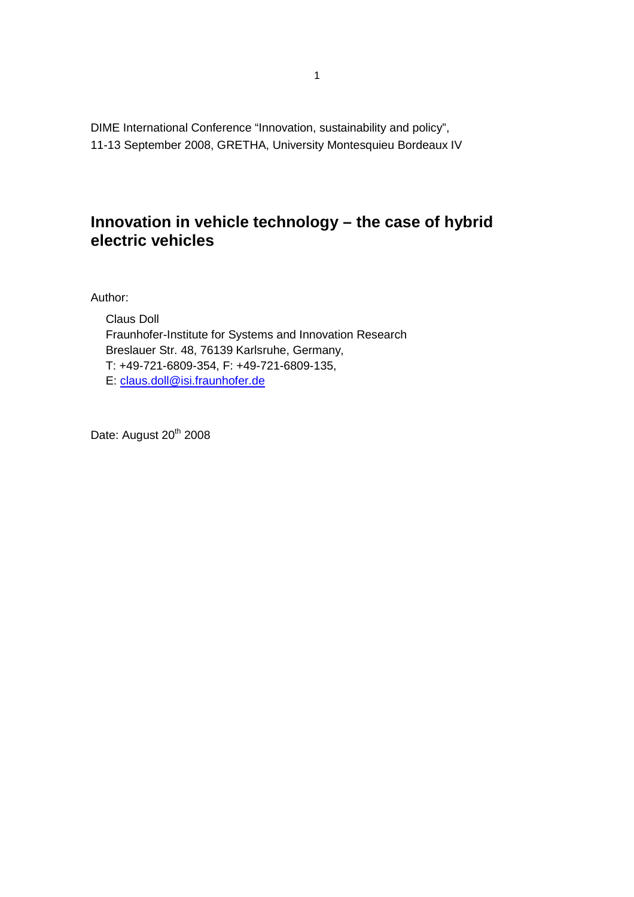DIME International Conference "Innovation, sustainability and policy", 11-13 September 2008, GRETHA, University Montesquieu Bordeaux IV

## **Innovation in vehicle technology – the case of hybrid electric vehicles**

Author:

Claus Doll Fraunhofer-Institute for Systems and Innovation Research Breslauer Str. 48, 76139 Karlsruhe, Germany, T: +49-721-6809-354, F: +49-721-6809-135, E: claus.doll@isi.fraunhofer.de

Date: August 20<sup>th</sup> 2008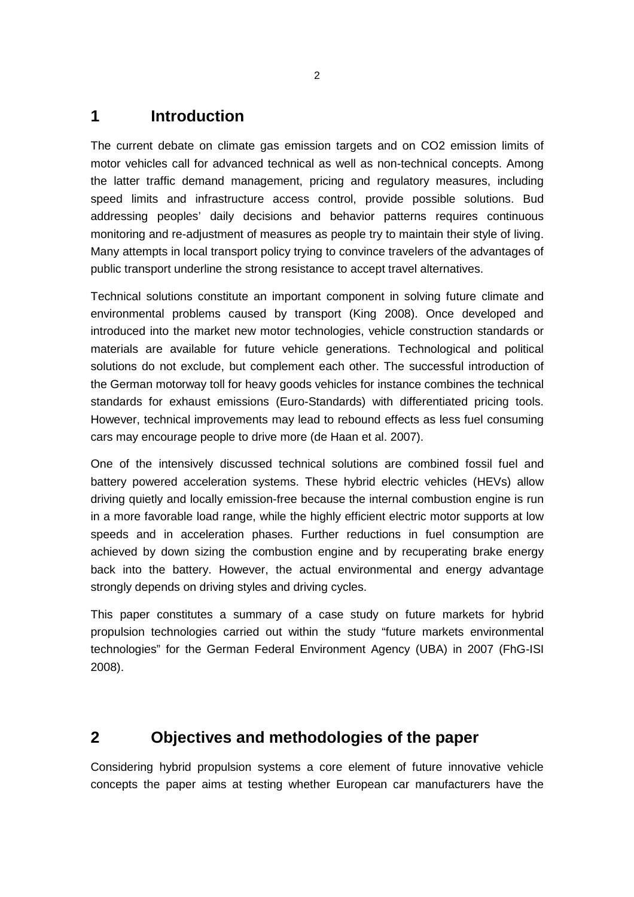## **1 Introduction**

The current debate on climate gas emission targets and on CO2 emission limits of motor vehicles call for advanced technical as well as non-technical concepts. Among the latter traffic demand management, pricing and regulatory measures, including speed limits and infrastructure access control, provide possible solutions. Bud addressing peoples' daily decisions and behavior patterns requires continuous monitoring and re-adjustment of measures as people try to maintain their style of living. Many attempts in local transport policy trying to convince travelers of the advantages of public transport underline the strong resistance to accept travel alternatives.

Technical solutions constitute an important component in solving future climate and environmental problems caused by transport (King 2008). Once developed and introduced into the market new motor technologies, vehicle construction standards or materials are available for future vehicle generations. Technological and political solutions do not exclude, but complement each other. The successful introduction of the German motorway toll for heavy goods vehicles for instance combines the technical standards for exhaust emissions (Euro-Standards) with differentiated pricing tools. However, technical improvements may lead to rebound effects as less fuel consuming cars may encourage people to drive more (de Haan et al. 2007).

One of the intensively discussed technical solutions are combined fossil fuel and battery powered acceleration systems. These hybrid electric vehicles (HEVs) allow driving quietly and locally emission-free because the internal combustion engine is run in a more favorable load range, while the highly efficient electric motor supports at low speeds and in acceleration phases. Further reductions in fuel consumption are achieved by down sizing the combustion engine and by recuperating brake energy back into the battery. However, the actual environmental and energy advantage strongly depends on driving styles and driving cycles.

This paper constitutes a summary of a case study on future markets for hybrid propulsion technologies carried out within the study "future markets environmental technologies" for the German Federal Environment Agency (UBA) in 2007 (FhG-ISI 2008).

### **2 Objectives and methodologies of the paper**

Considering hybrid propulsion systems a core element of future innovative vehicle concepts the paper aims at testing whether European car manufacturers have the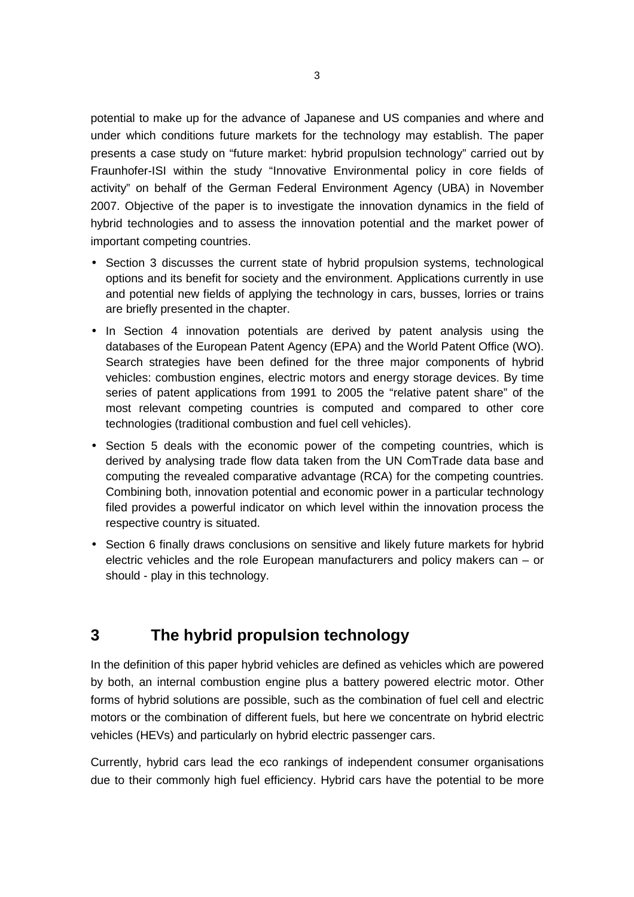potential to make up for the advance of Japanese and US companies and where and under which conditions future markets for the technology may establish. The paper presents a case study on "future market: hybrid propulsion technology" carried out by Fraunhofer-ISI within the study "Innovative Environmental policy in core fields of activity" on behalf of the German Federal Environment Agency (UBA) in November 2007. Objective of the paper is to investigate the innovation dynamics in the field of hybrid technologies and to assess the innovation potential and the market power of important competing countries.

- Section 3 discusses the current state of hybrid propulsion systems, technological options and its benefit for society and the environment. Applications currently in use and potential new fields of applying the technology in cars, busses, lorries or trains are briefly presented in the chapter.
- In Section 4 innovation potentials are derived by patent analysis using the databases of the European Patent Agency (EPA) and the World Patent Office (WO). Search strategies have been defined for the three major components of hybrid vehicles: combustion engines, electric motors and energy storage devices. By time series of patent applications from 1991 to 2005 the "relative patent share" of the most relevant competing countries is computed and compared to other core technologies (traditional combustion and fuel cell vehicles).
- Section 5 deals with the economic power of the competing countries, which is derived by analysing trade flow data taken from the UN ComTrade data base and computing the revealed comparative advantage (RCA) for the competing countries. Combining both, innovation potential and economic power in a particular technology filed provides a powerful indicator on which level within the innovation process the respective country is situated.
- Section 6 finally draws conclusions on sensitive and likely future markets for hybrid electric vehicles and the role European manufacturers and policy makers can – or should - play in this technology.

# **3 The hybrid propulsion technology**

In the definition of this paper hybrid vehicles are defined as vehicles which are powered by both, an internal combustion engine plus a battery powered electric motor. Other forms of hybrid solutions are possible, such as the combination of fuel cell and electric motors or the combination of different fuels, but here we concentrate on hybrid electric vehicles (HEVs) and particularly on hybrid electric passenger cars.

Currently, hybrid cars lead the eco rankings of independent consumer organisations due to their commonly high fuel efficiency. Hybrid cars have the potential to be more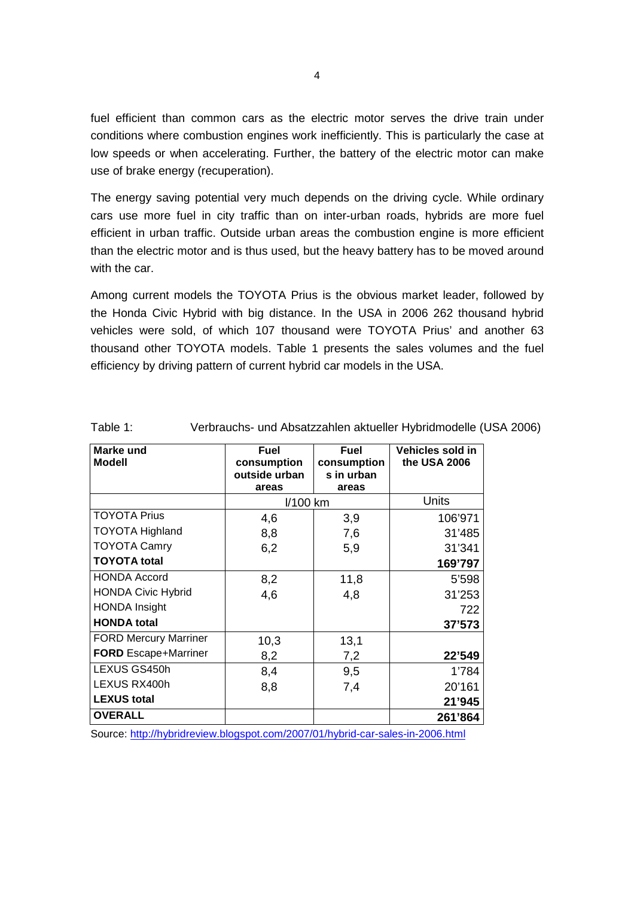fuel efficient than common cars as the electric motor serves the drive train under conditions where combustion engines work inefficiently. This is particularly the case at low speeds or when accelerating. Further, the battery of the electric motor can make use of brake energy (recuperation).

The energy saving potential very much depends on the driving cycle. While ordinary cars use more fuel in city traffic than on inter-urban roads, hybrids are more fuel efficient in urban traffic. Outside urban areas the combustion engine is more efficient than the electric motor and is thus used, but the heavy battery has to be moved around with the car.

Among current models the TOYOTA Prius is the obvious market leader, followed by the Honda Civic Hybrid with big distance. In the USA in 2006 262 thousand hybrid vehicles were sold, of which 107 thousand were TOYOTA Prius' and another 63 thousand other TOYOTA models. Table 1 presents the sales volumes and the fuel efficiency by driving pattern of current hybrid car models in the USA.

| <b>Marke und</b><br><b>Modell</b> | <b>Fuel</b><br>consumption<br>outside urban<br>areas | Fuel<br>consumption<br>s in urban<br>areas | Vehicles sold in<br>the USA 2006 |
|-----------------------------------|------------------------------------------------------|--------------------------------------------|----------------------------------|
|                                   | I/100 km                                             |                                            | <b>Units</b>                     |
| <b>TOYOTA Prius</b>               | 4,6                                                  | 3,9                                        | 106'971                          |
| <b>TOYOTA Highland</b>            | 8,8                                                  | 7,6                                        | 31'485                           |
| <b>TOYOTA Camry</b>               | 6,2                                                  | 5,9                                        | 31'341                           |
| <b>TOYOTA</b> total               |                                                      |                                            | 169'797                          |
| <b>HONDA Accord</b>               | 8,2                                                  | 11,8                                       | 5'598                            |
| <b>HONDA Civic Hybrid</b>         | 4,6                                                  | 4,8                                        | 31'253                           |
| <b>HONDA Insight</b>              |                                                      |                                            | 722                              |
| <b>HONDA total</b>                |                                                      |                                            | 37'573                           |
| <b>FORD Mercury Marriner</b>      | 10,3                                                 | 13,1                                       |                                  |
| <b>FORD</b> Escape+Marriner       | 8,2                                                  | 7,2                                        | 22'549                           |
| LEXUS GS450h                      | 8,4                                                  | 9,5                                        | 1'784                            |
| LEXUS RX400h                      | 8,8                                                  | 7,4                                        | 20'161                           |
| <b>LEXUS total</b>                |                                                      |                                            | 21'945                           |
| <b>OVERALL</b>                    |                                                      |                                            | 261'864                          |

| Table 1: | Verbrauchs- und Absatzzahlen aktueller Hybridmodelle (USA 2006) |  |
|----------|-----------------------------------------------------------------|--|
|          |                                                                 |  |

Source: http://hybridreview.blogspot.com/2007/01/hybrid-car-sales-in-2006.html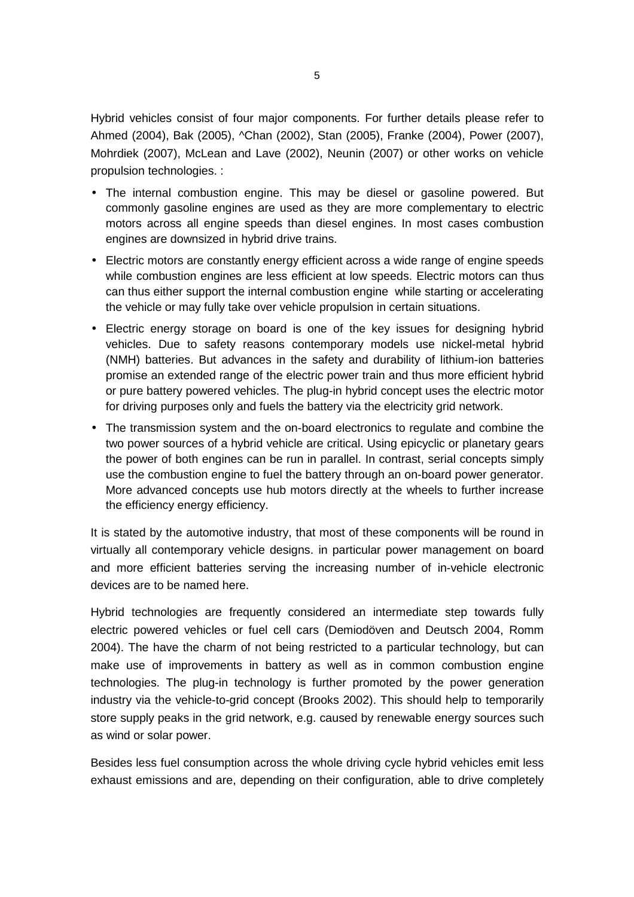Hybrid vehicles consist of four major components. For further details please refer to Ahmed (2004), Bak (2005), ^Chan (2002), Stan (2005), Franke (2004), Power (2007), Mohrdiek (2007), McLean and Lave (2002), Neunin (2007) or other works on vehicle propulsion technologies. :

- The internal combustion engine. This may be diesel or gasoline powered. But commonly gasoline engines are used as they are more complementary to electric motors across all engine speeds than diesel engines. In most cases combustion engines are downsized in hybrid drive trains.
- Electric motors are constantly energy efficient across a wide range of engine speeds while combustion engines are less efficient at low speeds. Electric motors can thus can thus either support the internal combustion engine while starting or accelerating the vehicle or may fully take over vehicle propulsion in certain situations.
- Electric energy storage on board is one of the key issues for designing hybrid vehicles. Due to safety reasons contemporary models use nickel-metal hybrid (NMH) batteries. But advances in the safety and durability of lithium-ion batteries promise an extended range of the electric power train and thus more efficient hybrid or pure battery powered vehicles. The plug-in hybrid concept uses the electric motor for driving purposes only and fuels the battery via the electricity grid network.
- The transmission system and the on-board electronics to regulate and combine the two power sources of a hybrid vehicle are critical. Using epicyclic or planetary gears the power of both engines can be run in parallel. In contrast, serial concepts simply use the combustion engine to fuel the battery through an on-board power generator. More advanced concepts use hub motors directly at the wheels to further increase the efficiency energy efficiency.

It is stated by the automotive industry, that most of these components will be round in virtually all contemporary vehicle designs. in particular power management on board and more efficient batteries serving the increasing number of in-vehicle electronic devices are to be named here.

Hybrid technologies are frequently considered an intermediate step towards fully electric powered vehicles or fuel cell cars (Demiodöven and Deutsch 2004, Romm 2004). The have the charm of not being restricted to a particular technology, but can make use of improvements in battery as well as in common combustion engine technologies. The plug-in technology is further promoted by the power generation industry via the vehicle-to-grid concept (Brooks 2002). This should help to temporarily store supply peaks in the grid network, e.g. caused by renewable energy sources such as wind or solar power.

Besides less fuel consumption across the whole driving cycle hybrid vehicles emit less exhaust emissions and are, depending on their configuration, able to drive completely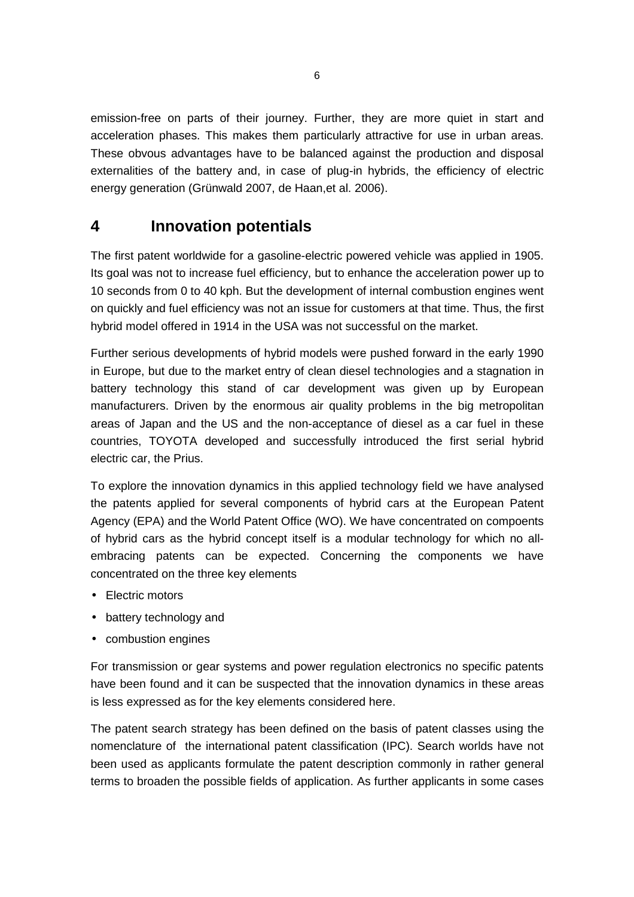emission-free on parts of their journey. Further, they are more quiet in start and acceleration phases. This makes them particularly attractive for use in urban areas. These obvous advantages have to be balanced against the production and disposal externalities of the battery and, in case of plug-in hybrids, the efficiency of electric energy generation (Grünwald 2007, de Haan,et al. 2006).

### **4 Innovation potentials**

The first patent worldwide for a gasoline-electric powered vehicle was applied in 1905. Its goal was not to increase fuel efficiency, but to enhance the acceleration power up to 10 seconds from 0 to 40 kph. But the development of internal combustion engines went on quickly and fuel efficiency was not an issue for customers at that time. Thus, the first hybrid model offered in 1914 in the USA was not successful on the market.

Further serious developments of hybrid models were pushed forward in the early 1990 in Europe, but due to the market entry of clean diesel technologies and a stagnation in battery technology this stand of car development was given up by European manufacturers. Driven by the enormous air quality problems in the big metropolitan areas of Japan and the US and the non-acceptance of diesel as a car fuel in these countries, TOYOTA developed and successfully introduced the first serial hybrid electric car, the Prius.

To explore the innovation dynamics in this applied technology field we have analysed the patents applied for several components of hybrid cars at the European Patent Agency (EPA) and the World Patent Office (WO). We have concentrated on compoents of hybrid cars as the hybrid concept itself is a modular technology for which no allembracing patents can be expected. Concerning the components we have concentrated on the three key elements

- **Electric motors**
- battery technology and
- combustion engines

For transmission or gear systems and power regulation electronics no specific patents have been found and it can be suspected that the innovation dynamics in these areas is less expressed as for the key elements considered here.

The patent search strategy has been defined on the basis of patent classes using the nomenclature of the international patent classification (IPC). Search worlds have not been used as applicants formulate the patent description commonly in rather general terms to broaden the possible fields of application. As further applicants in some cases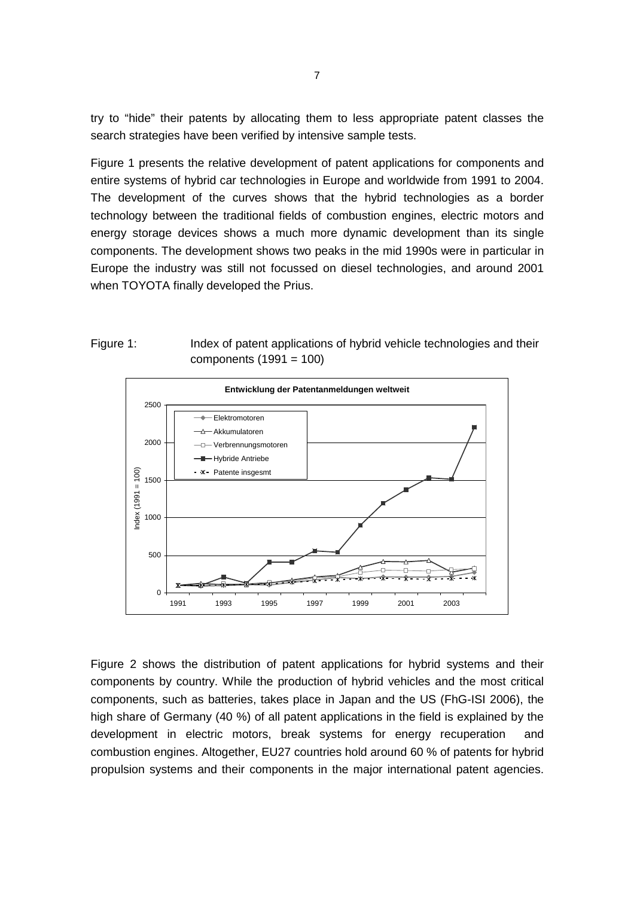try to "hide" their patents by allocating them to less appropriate patent classes the search strategies have been verified by intensive sample tests.

Figure 1 presents the relative development of patent applications for components and entire systems of hybrid car technologies in Europe and worldwide from 1991 to 2004. The development of the curves shows that the hybrid technologies as a border technology between the traditional fields of combustion engines, electric motors and energy storage devices shows a much more dynamic development than its single components. The development shows two peaks in the mid 1990s were in particular in Europe the industry was still not focussed on diesel technologies, and around 2001 when TOYOTA finally developed the Prius.





Figure 2 shows the distribution of patent applications for hybrid systems and their components by country. While the production of hybrid vehicles and the most critical components, such as batteries, takes place in Japan and the US (FhG-ISI 2006), the high share of Germany (40 %) of all patent applications in the field is explained by the development in electric motors, break systems for energy recuperation and combustion engines. Altogether, EU27 countries hold around 60 % of patents for hybrid propulsion systems and their components in the major international patent agencies.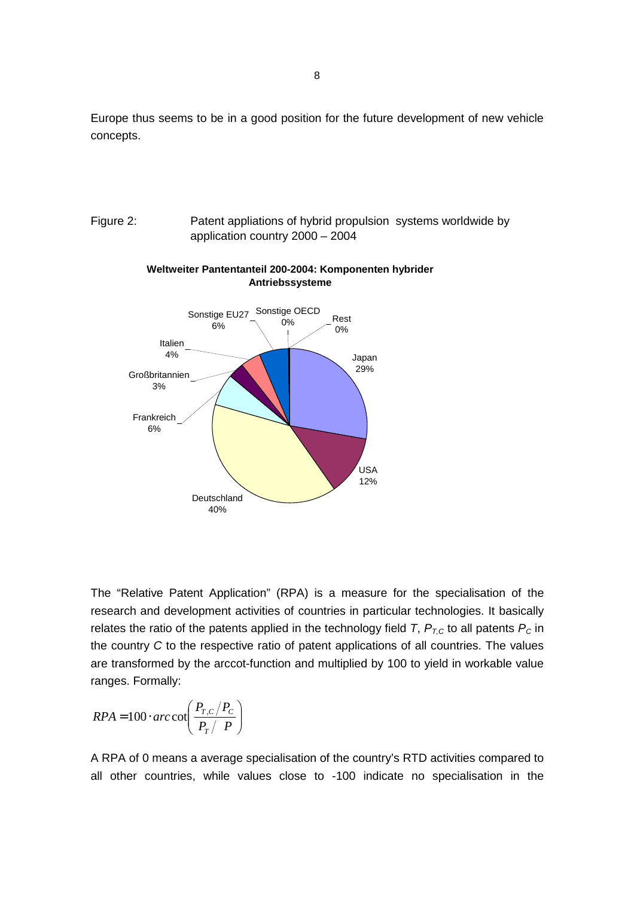Europe thus seems to be in a good position for the future development of new vehicle concepts.





#### **Weltweiter Pantentanteil 200-2004: Komponenten hybrider Antriebssysteme**

The "Relative Patent Application" (RPA) is a measure for the specialisation of the research and development activities of countries in particular technologies. It basically relates the ratio of the patents applied in the technology field T,  $P_{T,C}$  to all patents  $P_C$  in the country C to the respective ratio of patent applications of all countries. The values are transformed by the arccot-function and multiplied by 100 to yield in workable value ranges. Formally:

$$
RPA = 100 \cdot \arccos\left(\frac{P_{T,C}/P_c}{P_T/P}\right)
$$

A RPA of 0 means a average specialisation of the country's RTD activities compared to all other countries, while values close to -100 indicate no specialisation in the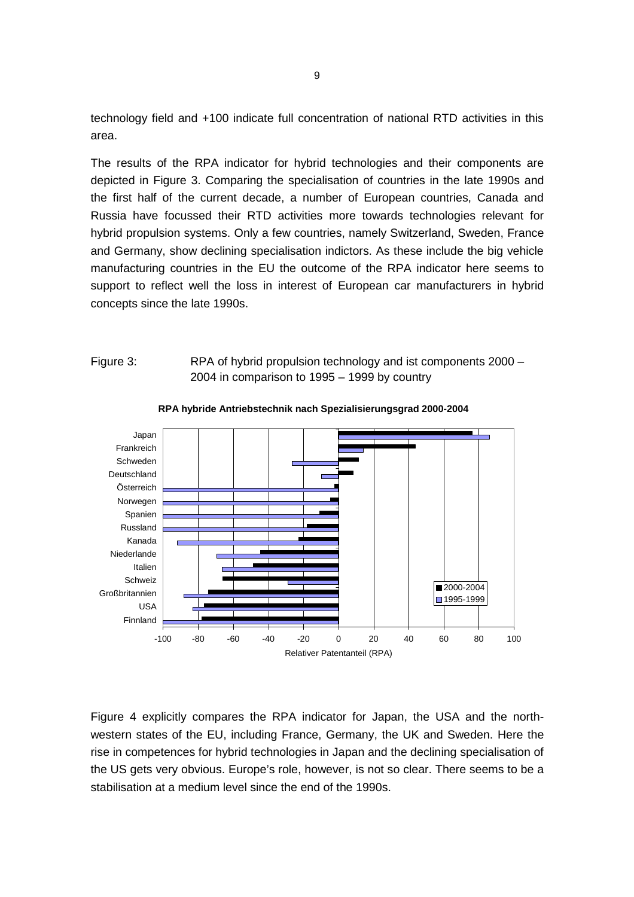technology field and +100 indicate full concentration of national RTD activities in this area.

The results of the RPA indicator for hybrid technologies and their components are depicted in Figure 3. Comparing the specialisation of countries in the late 1990s and the first half of the current decade, a number of European countries, Canada and Russia have focussed their RTD activities more towards technologies relevant for hybrid propulsion systems. Only a few countries, namely Switzerland, Sweden, France and Germany, show declining specialisation indictors. As these include the big vehicle manufacturing countries in the EU the outcome of the RPA indicator here seems to support to reflect well the loss in interest of European car manufacturers in hybrid concepts since the late 1990s.

#### Figure 3: RPA of hybrid propulsion technology and ist components 2000 – 2004 in comparison to 1995 – 1999 by country



**RPA hybride Antriebstechnik nach Spezialisierungsgrad 2000-2004**

Figure 4 explicitly compares the RPA indicator for Japan, the USA and the northwestern states of the EU, including France, Germany, the UK and Sweden. Here the rise in competences for hybrid technologies in Japan and the declining specialisation of the US gets very obvious. Europe's role, however, is not so clear. There seems to be a stabilisation at a medium level since the end of the 1990s.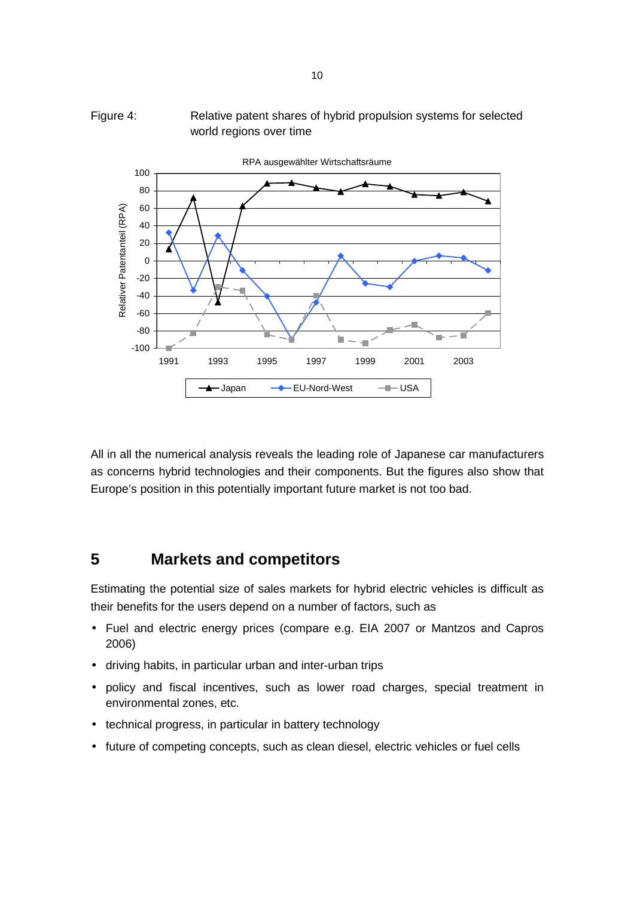



All in all the numerical analysis reveals the leading role of Japanese car manufacturers as concerns hybrid technologies and their components. But the figures also show that Europe's position in this potentially important future market is not too bad.

## **5 Markets and competitors**

Estimating the potential size of sales markets for hybrid electric vehicles is difficult as their benefits for the users depend on a number of factors, such as

- Fuel and electric energy prices (compare e.g. EIA 2007 or Mantzos and Capros 2006)
- driving habits, in particular urban and inter-urban trips
- policy and fiscal incentives, such as lower road charges, special treatment in environmental zones, etc.
- technical progress, in particular in battery technology
- future of competing concepts, such as clean diesel, electric vehicles or fuel cells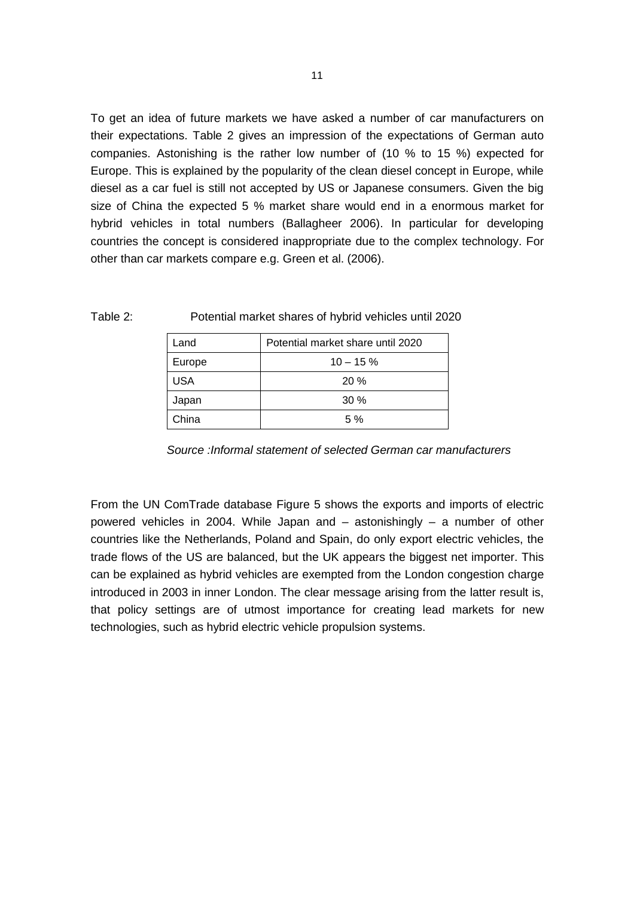To get an idea of future markets we have asked a number of car manufacturers on their expectations. Table 2 gives an impression of the expectations of German auto companies. Astonishing is the rather low number of (10 % to 15 %) expected for Europe. This is explained by the popularity of the clean diesel concept in Europe, while diesel as a car fuel is still not accepted by US or Japanese consumers. Given the big size of China the expected 5 % market share would end in a enormous market for hybrid vehicles in total numbers (Ballagheer 2006). In particular for developing countries the concept is considered inappropriate due to the complex technology. For other than car markets compare e.g. Green et al. (2006).

| .and       | Potential market share until 2020 |  |
|------------|-----------------------------------|--|
| Europe     | $10 - 15%$                        |  |
| <b>USA</b> | 20%                               |  |
| Japan      | 30%                               |  |
| China      | 5%                                |  |

| Potential market shares of hybrid vehicles until 2020<br>Table 2: |  |
|-------------------------------------------------------------------|--|
|-------------------------------------------------------------------|--|

Source :Informal statement of selected German car manufacturers

From the UN ComTrade database Figure 5 shows the exports and imports of electric powered vehicles in 2004. While Japan and  $-$  astonishingly  $-$  a number of other countries like the Netherlands, Poland and Spain, do only export electric vehicles, the trade flows of the US are balanced, but the UK appears the biggest net importer. This can be explained as hybrid vehicles are exempted from the London congestion charge introduced in 2003 in inner London. The clear message arising from the latter result is, that policy settings are of utmost importance for creating lead markets for new technologies, such as hybrid electric vehicle propulsion systems.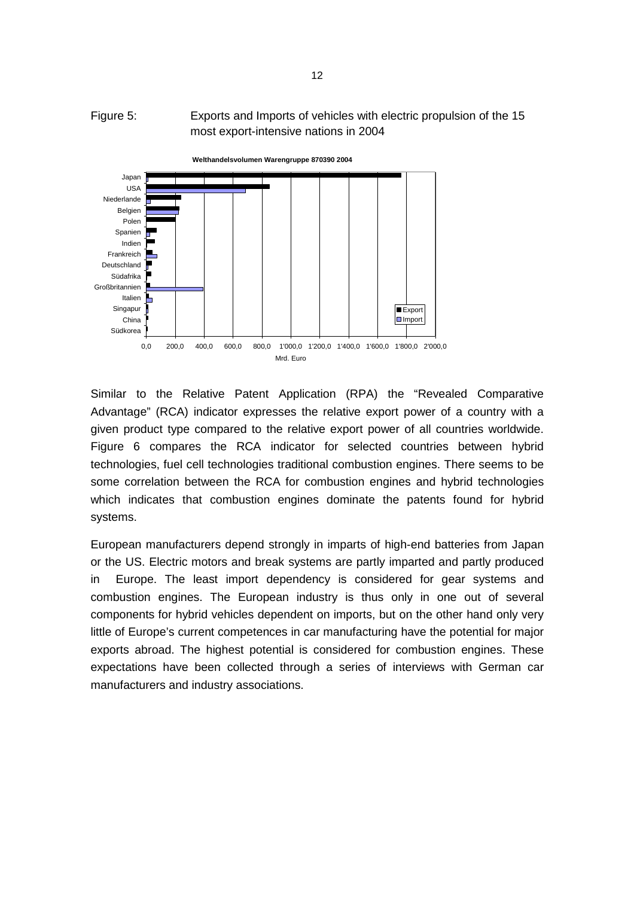### Figure 5: Exports and Imports of vehicles with electric propulsion of the 15 most export-intensive nations in 2004



Similar to the Relative Patent Application (RPA) the "Revealed Comparative Advantage" (RCA) indicator expresses the relative export power of a country with a given product type compared to the relative export power of all countries worldwide. Figure 6 compares the RCA indicator for selected countries between hybrid technologies, fuel cell technologies traditional combustion engines. There seems to be some correlation between the RCA for combustion engines and hybrid technologies which indicates that combustion engines dominate the patents found for hybrid systems.

European manufacturers depend strongly in imparts of high-end batteries from Japan or the US. Electric motors and break systems are partly imparted and partly produced in Europe. The least import dependency is considered for gear systems and combustion engines. The European industry is thus only in one out of several components for hybrid vehicles dependent on imports, but on the other hand only very little of Europe's current competences in car manufacturing have the potential for major exports abroad. The highest potential is considered for combustion engines. These expectations have been collected through a series of interviews with German car manufacturers and industry associations.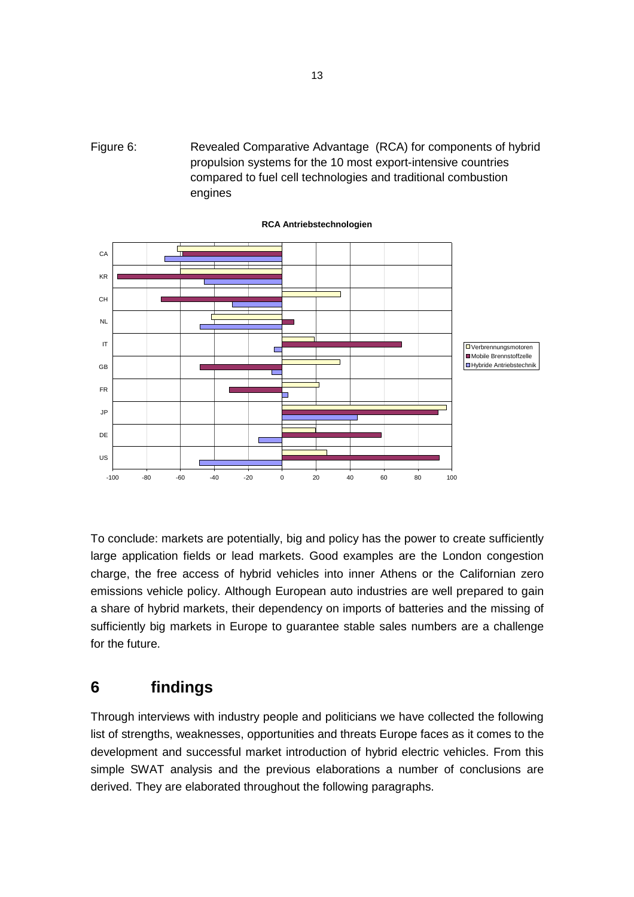



**RCA Antriebstechnologien**

To conclude: markets are potentially, big and policy has the power to create sufficiently large application fields or lead markets. Good examples are the London congestion charge, the free access of hybrid vehicles into inner Athens or the Californian zero emissions vehicle policy. Although European auto industries are well prepared to gain a share of hybrid markets, their dependency on imports of batteries and the missing of sufficiently big markets in Europe to guarantee stable sales numbers are a challenge for the future.

### **6 findings**

Through interviews with industry people and politicians we have collected the following list of strengths, weaknesses, opportunities and threats Europe faces as it comes to the development and successful market introduction of hybrid electric vehicles. From this simple SWAT analysis and the previous elaborations a number of conclusions are derived. They are elaborated throughout the following paragraphs.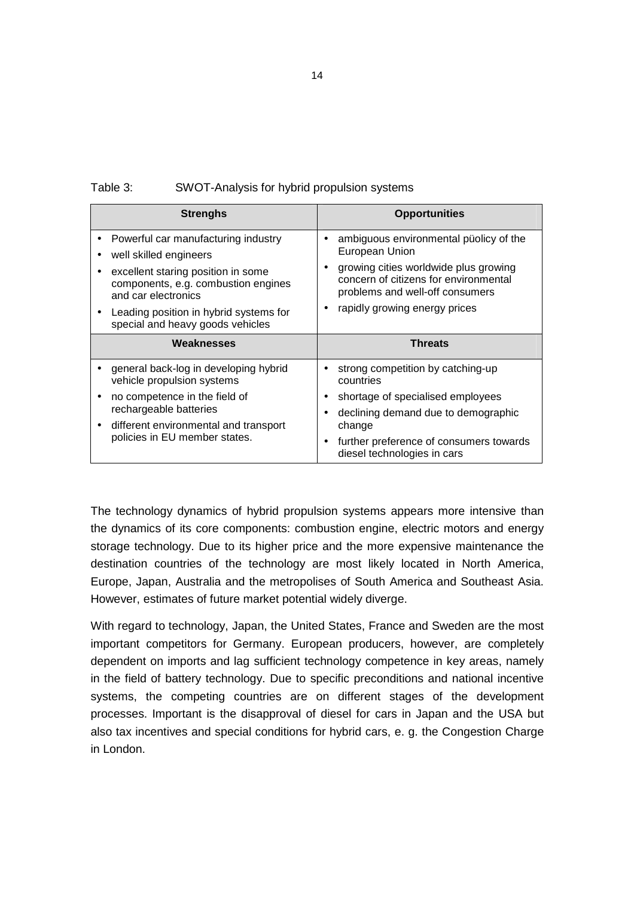| Table 3:<br>SWOT-Analysis for hybrid propulsion systems |  |
|---------------------------------------------------------|--|
|---------------------------------------------------------|--|

| <b>Strenghs</b>                                                                                                                                                                                                                                                        | <b>Opportunities</b>                                                                                                                                                                                           |
|------------------------------------------------------------------------------------------------------------------------------------------------------------------------------------------------------------------------------------------------------------------------|----------------------------------------------------------------------------------------------------------------------------------------------------------------------------------------------------------------|
| Powerful car manufacturing industry<br>٠<br>well skilled engineers<br>٠<br>excellent staring position in some<br>$\bullet$<br>components, e.g. combustion engines<br>and car electronics<br>Leading position in hybrid systems for<br>special and heavy goods vehicles | ambiguous environmental püolicy of the<br>European Union<br>growing cities worldwide plus growing<br>concern of citizens for environmental<br>problems and well-off consumers<br>rapidly growing energy prices |
| Weaknesses                                                                                                                                                                                                                                                             | Threats                                                                                                                                                                                                        |
| general back-log in developing hybrid<br>vehicle propulsion systems<br>no competence in the field of<br>$\bullet$<br>rechargeable batteries<br>different environmental and transport<br>٠<br>policies in EU member states.                                             | strong competition by catching-up<br>countries<br>shortage of specialised employees<br>declining demand due to demographic<br>change<br>further preference of consumers towards<br>diesel technologies in cars |

The technology dynamics of hybrid propulsion systems appears more intensive than the dynamics of its core components: combustion engine, electric motors and energy storage technology. Due to its higher price and the more expensive maintenance the destination countries of the technology are most likely located in North America, Europe, Japan, Australia and the metropolises of South America and Southeast Asia. However, estimates of future market potential widely diverge.

With regard to technology, Japan, the United States, France and Sweden are the most important competitors for Germany. European producers, however, are completely dependent on imports and lag sufficient technology competence in key areas, namely in the field of battery technology. Due to specific preconditions and national incentive systems, the competing countries are on different stages of the development processes. Important is the disapproval of diesel for cars in Japan and the USA but also tax incentives and special conditions for hybrid cars, e. g. the Congestion Charge in London.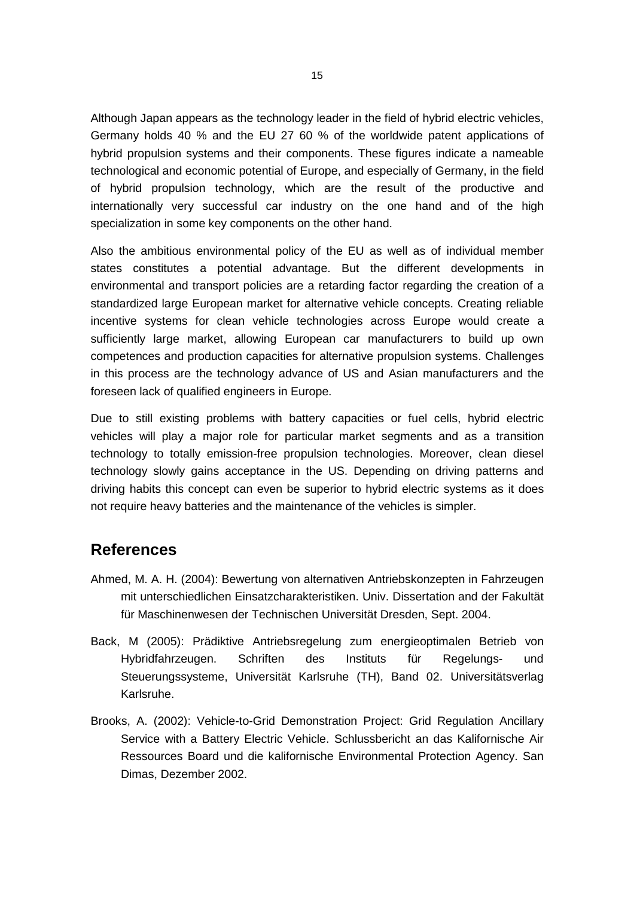Although Japan appears as the technology leader in the field of hybrid electric vehicles, Germany holds 40 % and the EU 27 60 % of the worldwide patent applications of hybrid propulsion systems and their components. These figures indicate a nameable technological and economic potential of Europe, and especially of Germany, in the field of hybrid propulsion technology, which are the result of the productive and internationally very successful car industry on the one hand and of the high specialization in some key components on the other hand.

Also the ambitious environmental policy of the EU as well as of individual member states constitutes a potential advantage. But the different developments in environmental and transport policies are a retarding factor regarding the creation of a standardized large European market for alternative vehicle concepts. Creating reliable incentive systems for clean vehicle technologies across Europe would create a sufficiently large market, allowing European car manufacturers to build up own competences and production capacities for alternative propulsion systems. Challenges in this process are the technology advance of US and Asian manufacturers and the foreseen lack of qualified engineers in Europe.

Due to still existing problems with battery capacities or fuel cells, hybrid electric vehicles will play a major role for particular market segments and as a transition technology to totally emission-free propulsion technologies. Moreover, clean diesel technology slowly gains acceptance in the US. Depending on driving patterns and driving habits this concept can even be superior to hybrid electric systems as it does not require heavy batteries and the maintenance of the vehicles is simpler.

### **References**

- Ahmed, M. A. H. (2004): Bewertung von alternativen Antriebskonzepten in Fahrzeugen mit unterschiedlichen Einsatzcharakteristiken. Univ. Dissertation and der Fakultät für Maschinenwesen der Technischen Universität Dresden, Sept. 2004.
- Back, M (2005): Prädiktive Antriebsregelung zum energieoptimalen Betrieb von Hybridfahrzeugen. Schriften des Instituts für Regelungs- und Steuerungssysteme, Universität Karlsruhe (TH), Band 02. Universitätsverlag Karlsruhe.
- Brooks, A. (2002): Vehicle-to-Grid Demonstration Project: Grid Regulation Ancillary Service with a Battery Electric Vehicle. Schlussbericht an das Kalifornische Air Ressources Board und die kalifornische Environmental Protection Agency. San Dimas, Dezember 2002.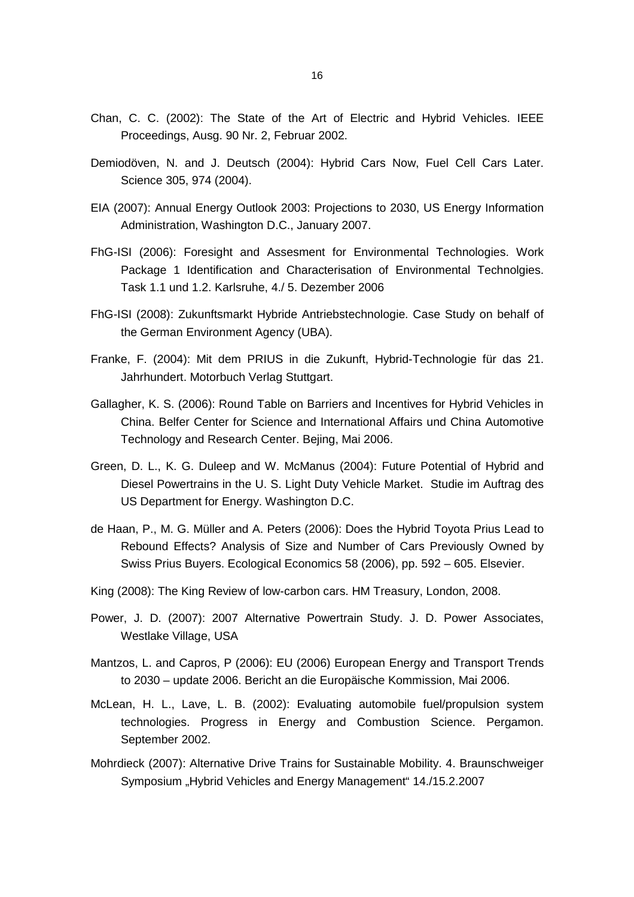- Chan, C. C. (2002): The State of the Art of Electric and Hybrid Vehicles. IEEE Proceedings, Ausg. 90 Nr. 2, Februar 2002.
- Demiodöven, N. and J. Deutsch (2004): Hybrid Cars Now, Fuel Cell Cars Later. Science 305, 974 (2004).
- EIA (2007): Annual Energy Outlook 2003: Projections to 2030, US Energy Information Administration, Washington D.C., January 2007.
- FhG-ISI (2006): Foresight and Assesment for Environmental Technologies. Work Package 1 Identification and Characterisation of Environmental Technolgies. Task 1.1 und 1.2. Karlsruhe, 4./ 5. Dezember 2006
- FhG-ISI (2008): Zukunftsmarkt Hybride Antriebstechnologie. Case Study on behalf of the German Environment Agency (UBA).
- Franke, F. (2004): Mit dem PRIUS in die Zukunft, Hybrid-Technologie für das 21. Jahrhundert. Motorbuch Verlag Stuttgart.
- Gallagher, K. S. (2006): Round Table on Barriers and Incentives for Hybrid Vehicles in China. Belfer Center for Science and International Affairs und China Automotive Technology and Research Center. Bejing, Mai 2006.
- Green, D. L., K. G. Duleep and W. McManus (2004): Future Potential of Hybrid and Diesel Powertrains in the U. S. Light Duty Vehicle Market. Studie im Auftrag des US Department for Energy. Washington D.C.
- de Haan, P., M. G. Müller and A. Peters (2006): Does the Hybrid Toyota Prius Lead to Rebound Effects? Analysis of Size and Number of Cars Previously Owned by Swiss Prius Buyers. Ecological Economics 58 (2006), pp. 592 – 605. Elsevier.
- King (2008): The King Review of low-carbon cars. HM Treasury, London, 2008.
- Power, J. D. (2007): 2007 Alternative Powertrain Study. J. D. Power Associates, Westlake Village, USA
- Mantzos, L. and Capros, P (2006): EU (2006) European Energy and Transport Trends to 2030 – update 2006. Bericht an die Europäische Kommission, Mai 2006.
- McLean, H. L., Lave, L. B. (2002): Evaluating automobile fuel/propulsion system technologies. Progress in Energy and Combustion Science. Pergamon. September 2002.
- Mohrdieck (2007): Alternative Drive Trains for Sustainable Mobility. 4. Braunschweiger Symposium "Hybrid Vehicles and Energy Management" 14./15.2.2007